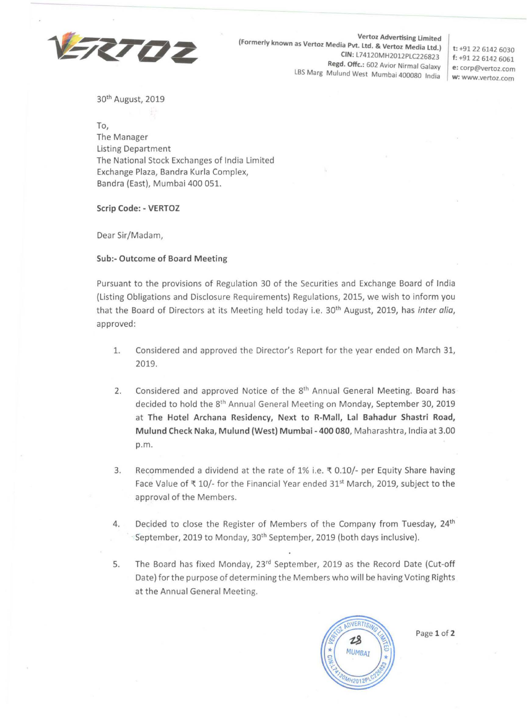

**Vertoz Advertising limited (Formerly known as Vertoz Media Pvt. Ltd.** & **Vertoz Media Ltd.) CIN:** l74120MH2012PLC226823 **Regd. Offc.:** 602 Avior Nirmal Galaxy LBS **Marg** Mulund West Mumbai 400080 India

**t:** +91 22 6142 6030 **f:** +91 22 6142 6061 I **e:** corp@vertoz.com **w: www.vertoz.com** 

30th August, 2019

**To,**  The Manager Listing Department The National Stock Exchanges of India Limited Exchange Plaza, Bandra Kurla Complex, Bandra (East), Mumbai 400 051.

**Scrip Code:** - **VERTOZ** 

Dear Sir/Madam,

## **Sub:- Outcome of Board Meeting**

Pursuant to the provisions of Regulation 30 of the Securities and Exchange Board of India (Listing Obligations and Disclosure Requirements) Regulations, 2015, we wish to inform you that the Board of Directors at its Meeting held today i.e. 30<sup>th</sup> August, 2019, has inter alia, approved:

- 1. Considered and approved the Director's Report for the year ended on March 31, 2019.
- 2. Considered and approved Notice of the 8<sup>th</sup> Annual General Meeting. Board has decided to hold the 8th Annual General Meeting on Monday, September 30, 2019 at **The Hotel Archana Residency, Next to R-Mall, Lal Bahadur Shastri Road, Mulund Check Naka, Mulund (West) Mumbai** - **400 080,** Maharashtra, India at 3.00 p.m.
- 3. Recommended a dividend at the rate of 1% i.e.  $\overline{x}$  0.10/- per Equity Share having Face Value of  $\bar{x}$  10/- for the Financial Year ended 31<sup>st</sup> March, 2019, subject to the approval of the Members.
- 4. Decided to close the Register of Members of the Company from Tuesday, **24th**  September, 2019 to Monday, 30<sup>th</sup> September, 2019 (both days inclusive).
- 5. The Board has fixed Monday, 23<sup>rd</sup> September, 2019 as the Record Date (Cut-off Date) for the purpose of determining the Members who will be having Voting Rights at the Annual General Meeting.



Page 1 of 2